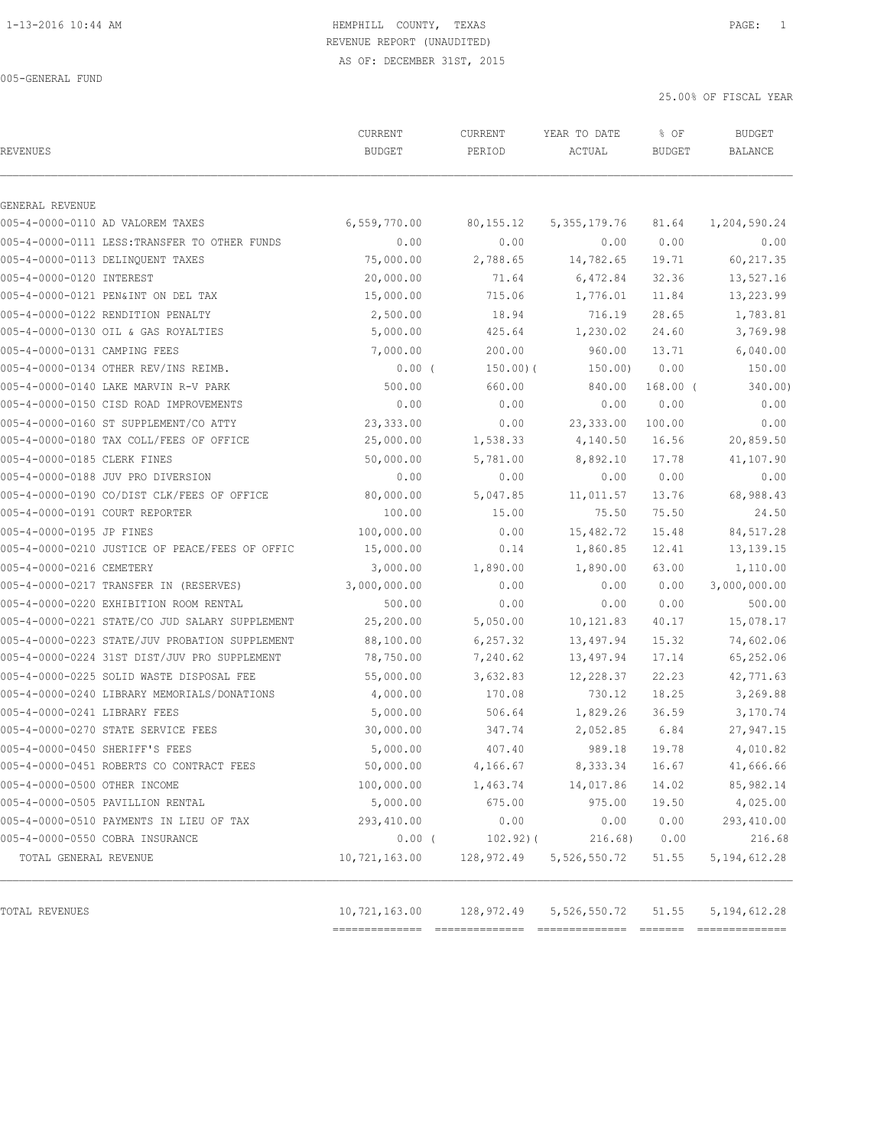# 1-13-2016 10:44 AM HEMPHILL COUNTY, TEXAS PAGE: 1 REVENUE REPORT (UNAUDITED)

AS OF: DECEMBER 31ST, 2015

005-GENERAL FUND

25.00% OF FISCAL YEAR

| <b>REVENUES</b>                      |                                                | CURRENT<br><b>BUDGET</b> | CURRENT<br>PERIOD | YEAR TO DATE<br>ACTUAL | % OF<br><b>BUDGET</b> | BUDGET<br>BALANCE |
|--------------------------------------|------------------------------------------------|--------------------------|-------------------|------------------------|-----------------------|-------------------|
| <b>GENERAL REVENUE</b>               |                                                |                          |                   |                        |                       |                   |
| 005-4-0000-0110 AD VALOREM TAXES     |                                                | 6,559,770.00             | 80, 155. 12       | 5, 355, 179. 76        | 81.64                 | 1,204,590.24      |
|                                      | 005-4-0000-0111 LESS: TRANSFER TO OTHER FUNDS  | 0.00                     | 0.00              | 0.00                   | 0.00                  | 0.00              |
| 005-4-0000-0113 DELINQUENT TAXES     |                                                | 75,000.00                | 2,788.65          | 14,782.65              | 19.71                 | 60, 217.35        |
| 005-4-0000-0120 INTEREST             |                                                | 20,000.00                | 71.64             | 6,472.84               | 32.36                 | 13,527.16         |
| 005-4-0000-0121 PEN&INT ON DEL TAX   |                                                | 15,000.00                | 715.06            | 1,776.01               | 11.84                 | 13,223.99         |
| 005-4-0000-0122 RENDITION PENALTY    |                                                | 2,500.00                 | 18.94             | 716.19                 | 28.65                 | 1,783.81          |
| 005-4-0000-0130 OIL & GAS ROYALTIES  |                                                | 5,000.00                 | 425.64            | 1,230.02               | 24.60                 | 3,769.98          |
| 005-4-0000-0131 CAMPING FEES         |                                                | 7,000.00                 | 200.00            | 960.00                 | 13.71                 | 6,040.00          |
| 005-4-0000-0134 OTHER REV/INS REIMB. |                                                | $0.00$ (                 | 150.00(           | 150.00)                | 0.00                  | 150.00            |
|                                      | 005-4-0000-0140 LAKE MARVIN R-V PARK           | 500.00                   | 660.00            | 840.00                 | $168.00$ (            | 340.00)           |
|                                      | 005-4-0000-0150 CISD ROAD IMPROVEMENTS         | 0.00                     | 0.00              | 0.00                   | 0.00                  | 0.00              |
|                                      | 005-4-0000-0160 ST SUPPLEMENT/CO ATTY          | 23,333.00                | 0.00              | 23, 333.00             | 100.00                | 0.00              |
|                                      | 005-4-0000-0180 TAX COLL/FEES OF OFFICE        | 25,000.00                | 1,538.33          | 4,140.50               | 16.56                 | 20,859.50         |
| 005-4-0000-0185 CLERK FINES          |                                                | 50,000.00                | 5,781.00          | 8,892.10               | 17.78                 | 41,107.90         |
| 005-4-0000-0188 JUV PRO DIVERSION    |                                                | 0.00                     | 0.00              | 0.00                   | 0.00                  | 0.00              |
|                                      | 005-4-0000-0190 CO/DIST CLK/FEES OF OFFICE     | 80,000.00                | 5,047.85          | 11,011.57              | 13.76                 | 68,988.43         |
| 005-4-0000-0191 COURT REPORTER       |                                                | 100.00                   | 15.00             | 75.50                  | 75.50                 | 24.50             |
| 005-4-0000-0195 JP FINES             |                                                | 100,000.00               | 0.00              | 15,482.72              | 15.48                 | 84,517.28         |
|                                      | 005-4-0000-0210 JUSTICE OF PEACE/FEES OF OFFIC | 15,000.00                | 0.14              | 1,860.85               | 12.41                 | 13, 139. 15       |
| 005-4-0000-0216 CEMETERY             |                                                | 3,000.00                 | 1,890.00          | 1,890.00               | 63.00                 | 1,110.00          |
|                                      | 005-4-0000-0217 TRANSFER IN (RESERVES)         | 3,000,000.00             | 0.00              | 0.00                   | 0.00                  | 3,000,000.00      |
|                                      | 005-4-0000-0220 EXHIBITION ROOM RENTAL         | 500.00                   | 0.00              | 0.00                   | 0.00                  | 500.00            |
|                                      | 005-4-0000-0221 STATE/CO JUD SALARY SUPPLEMENT | 25,200.00                | 5,050.00          | 10,121.83              | 40.17                 | 15,078.17         |
|                                      | 005-4-0000-0223 STATE/JUV PROBATION SUPPLEMENT | 88,100.00                | 6, 257.32         | 13,497.94              | 15.32                 | 74,602.06         |
|                                      | 005-4-0000-0224 31ST DIST/JUV PRO SUPPLEMENT   | 78,750.00                | 7,240.62          | 13,497.94              | 17.14                 | 65,252.06         |
|                                      | 005-4-0000-0225 SOLID WASTE DISPOSAL FEE       | 55,000.00                | 3,632.83          | 12,228.37              | 22.23                 | 42,771.63         |
|                                      | 005-4-0000-0240 LIBRARY MEMORIALS/DONATIONS    | 4,000.00                 | 170.08            | 730.12                 | 18.25                 | 3,269.88          |
| 005-4-0000-0241 LIBRARY FEES         |                                                | 5,000.00                 | 506.64            | 1,829.26               | 36.59                 | 3,170.74          |
| 005-4-0000-0270 STATE SERVICE FEES   |                                                | 30,000.00                | 347.74            | 2,052.85               | 6.84                  | 27,947.15         |
| 005-4-0000-0450 SHERIFF'S FEES       |                                                | 5,000.00                 | 407.40            | 989.18                 | 19.78                 | 4,010.82          |
|                                      | 005-4-0000-0451 ROBERTS CO CONTRACT FEES       | 50,000.00                | 4,166.67          | 8, 333.34              | 16.67                 | 41,666.66         |
| 005-4-0000-0500 OTHER INCOME         |                                                | 100,000.00               | 1,463.74          | 14,017.86              | 14.02                 | 85,982.14         |
| 005-4-0000-0505 PAVILLION RENTAL     |                                                | 5,000.00                 | 675.00            | 975.00                 | 19.50                 | 4,025.00          |
|                                      | 005-4-0000-0510 PAYMENTS IN LIEU OF TAX        | 293,410.00               | 0.00              | 0.00                   | 0.00                  | 293,410.00        |
| 005-4-0000-0550 COBRA INSURANCE      |                                                | $0.00$ (                 | $102.92)$ (       | 216.68)                | 0.00                  | 216.68            |
| TOTAL GENERAL REVENUE                |                                                | 10,721,163.00            | 128,972.49        | 5,526,550.72           | 51.55                 | 5, 194, 612.28    |
| TOTAL REVENUES                       |                                                | 10,721,163.00            | 128,972.49        | 5, 526, 550.72         | 51.55                 | 5, 194, 612.28    |

============== ============== ============== ======= ==============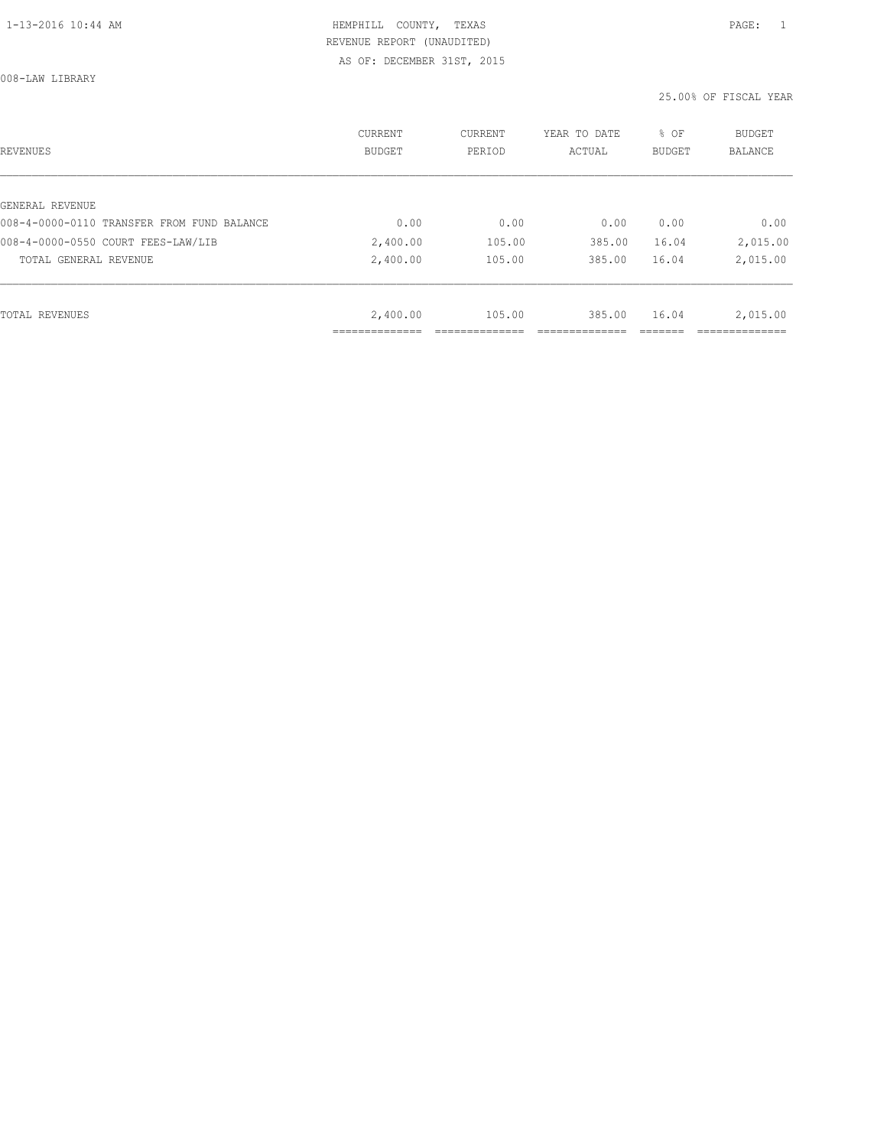008-LAW LIBRARY

| REVENUES                                   | CURRENT<br><b>BUDGET</b> | CURRENT<br>PERIOD | YEAR TO DATE<br>ACTUAL | % OF<br>BUDGET | BUDGET<br><b>BALANCE</b> |
|--------------------------------------------|--------------------------|-------------------|------------------------|----------------|--------------------------|
|                                            |                          |                   |                        |                |                          |
| GENERAL REVENUE                            |                          |                   |                        |                |                          |
| 008-4-0000-0110 TRANSFER FROM FUND BALANCE | 0.00                     | 0.00              | 0.00                   | 0.00           | 0.00                     |
| 008-4-0000-0550 COURT FEES-LAW/LIB         | 2,400.00                 | 105.00            | 385.00                 | 16.04          | 2,015.00                 |
| TOTAL GENERAL REVENUE                      | 2,400.00                 | 105.00            | 385.00                 | 16.04          | 2,015.00                 |
|                                            |                          |                   |                        |                |                          |
| TOTAL REVENUES                             | 2,400.00                 | 105.00            | 385.00                 | 16.04          | 2,015.00                 |
|                                            | ___________              |                   |                        |                |                          |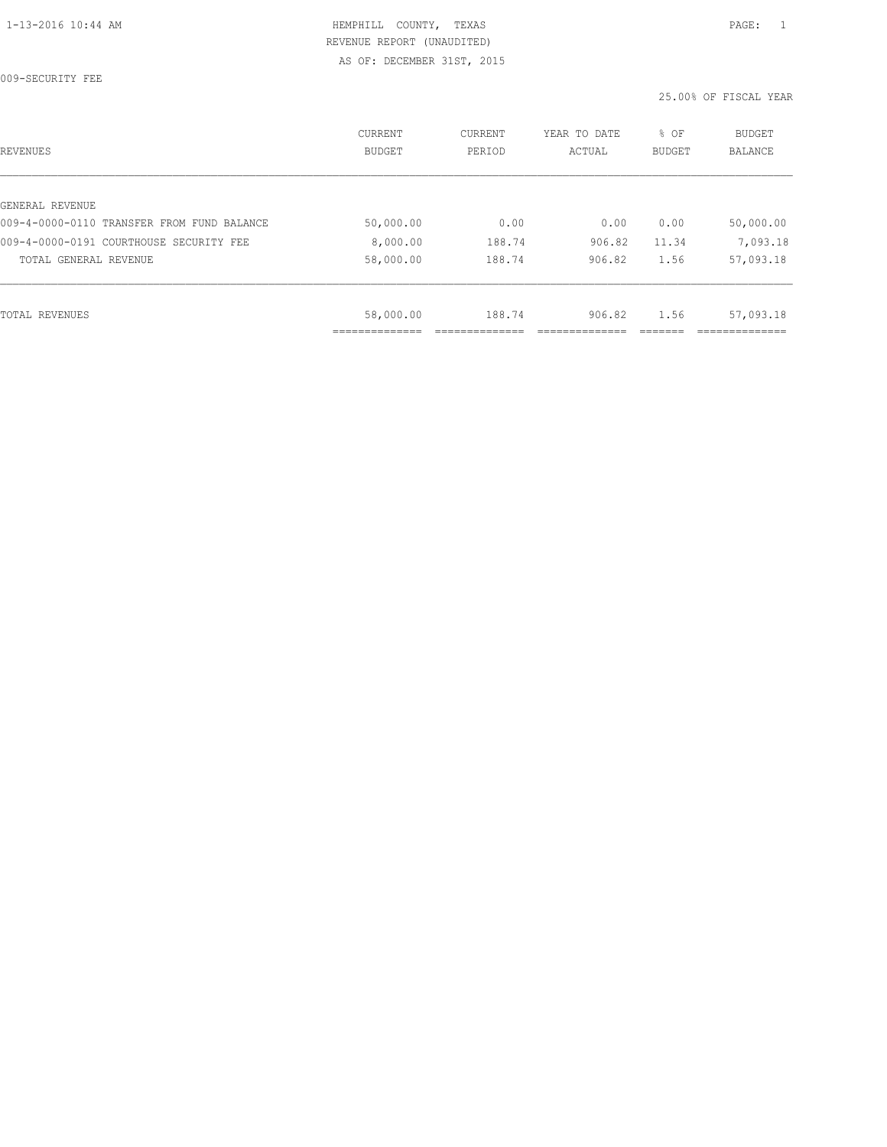009-SECURITY FEE

| REVENUES                                   | CURRENT<br><b>BUDGET</b> | CURRENT<br>PERIOD | YEAR TO DATE<br>ACTUAL | % OF<br>BUDGET | BUDGET<br><b>BALANCE</b> |
|--------------------------------------------|--------------------------|-------------------|------------------------|----------------|--------------------------|
|                                            |                          |                   |                        |                |                          |
| GENERAL REVENUE                            |                          |                   |                        |                |                          |
| 009-4-0000-0110 TRANSFER FROM FUND BALANCE | 50,000.00                | 0.00              | 0.00                   | 0.00           | 50,000.00                |
| 009-4-0000-0191 COURTHOUSE SECURITY FEE    | 8,000.00                 | 188.74            | 906.82                 | 11.34          | 7,093.18                 |
| TOTAL GENERAL REVENUE                      | 58,000.00                | 188.74            | 906.82                 | 1.56           | 57,093.18                |
|                                            |                          |                   |                        |                |                          |
| TOTAL REVENUES                             | 58,000.00                | 188.74            | 906.82                 | 1.56           | 57,093.18                |
|                                            |                          |                   |                        |                |                          |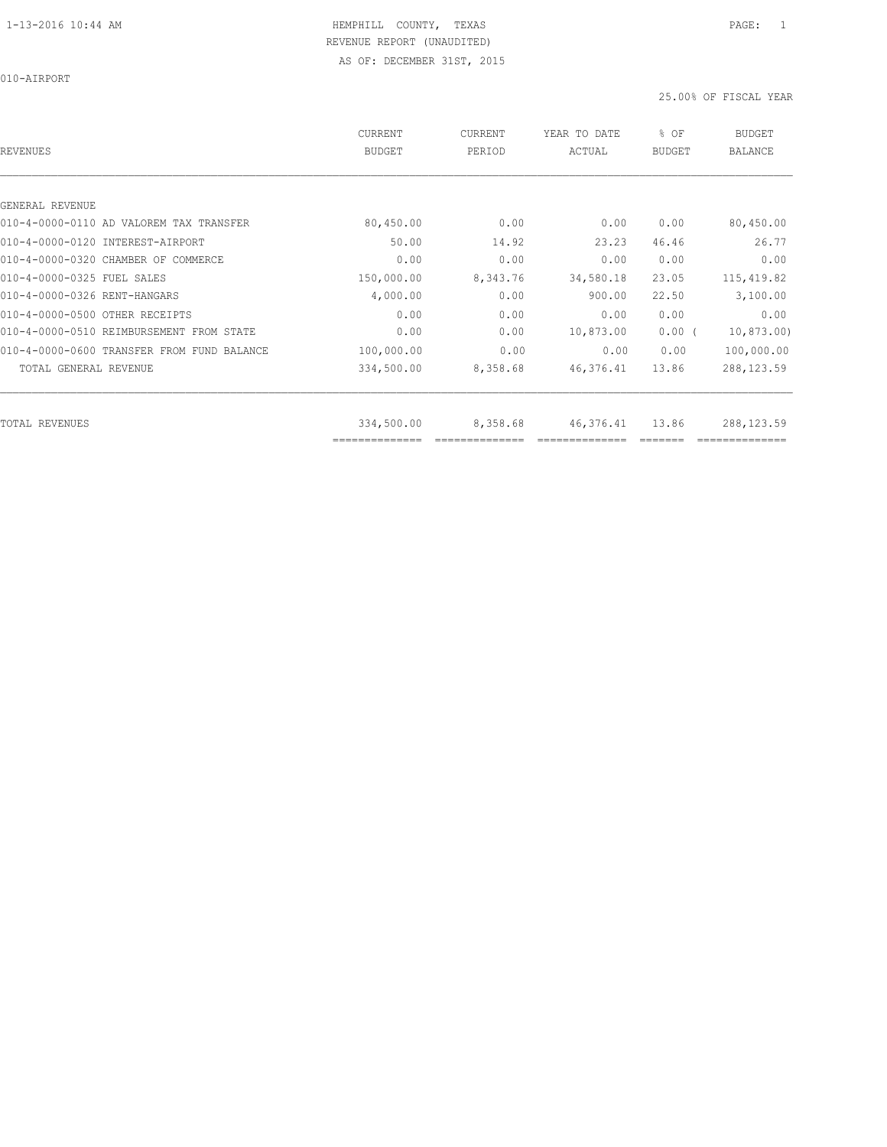010-AIRPORT

| <b>REVENUES</b>                            | CURRENT<br><b>BUDGET</b> | CURRENT<br>PERIOD | YEAR TO DATE<br>ACTUAL | % OF<br><b>BUDGET</b> | <b>BUDGET</b><br><b>BALANCE</b> |
|--------------------------------------------|--------------------------|-------------------|------------------------|-----------------------|---------------------------------|
|                                            |                          |                   |                        |                       |                                 |
| GENERAL REVENUE                            |                          |                   |                        |                       |                                 |
| 010-4-0000-0110 AD VALOREM TAX TRANSFER    | 80,450.00                | 0.00              | 0.00                   | 0.00                  | 80,450.00                       |
| 010-4-0000-0120 INTEREST-AIRPORT           | 50.00                    | 14.92             | 23.23                  | 46.46                 | 26.77                           |
| 010-4-0000-0320 CHAMBER OF COMMERCE        | 0.00                     | 0.00              | 0.00                   | 0.00                  | 0.00                            |
| 010-4-0000-0325 FUEL SALES                 | 150,000.00               | 8,343.76          | 34,580.18              | 23.05                 | 115, 419.82                     |
| 010-4-0000-0326 RENT-HANGARS               | 4,000.00                 | 0.00              | 900.00                 | 22.50                 | 3,100.00                        |
| 010-4-0000-0500 OTHER RECEIPTS             | 0.00                     | 0.00              | 0.00                   | 0.00                  | 0.00                            |
| 010-4-0000-0510 REIMBURSEMENT FROM STATE   | 0.00                     | 0.00              | 10,873.00              | 0.00(                 | 10,873.00                       |
| 010-4-0000-0600 TRANSFER FROM FUND BALANCE | 100,000.00               | 0.00              | 0.00                   | 0.00                  | 100,000.00                      |
| TOTAL GENERAL REVENUE                      | 334,500.00               | 8,358.68          | 46,376.41              | 13.86                 | 288, 123.59                     |
| <b>TOTAL REVENUES</b>                      | 334,500.00               | 8,358.68          | 46,376.41              | 13.86                 | 288,123.59                      |
|                                            | ==============           |                   |                        |                       |                                 |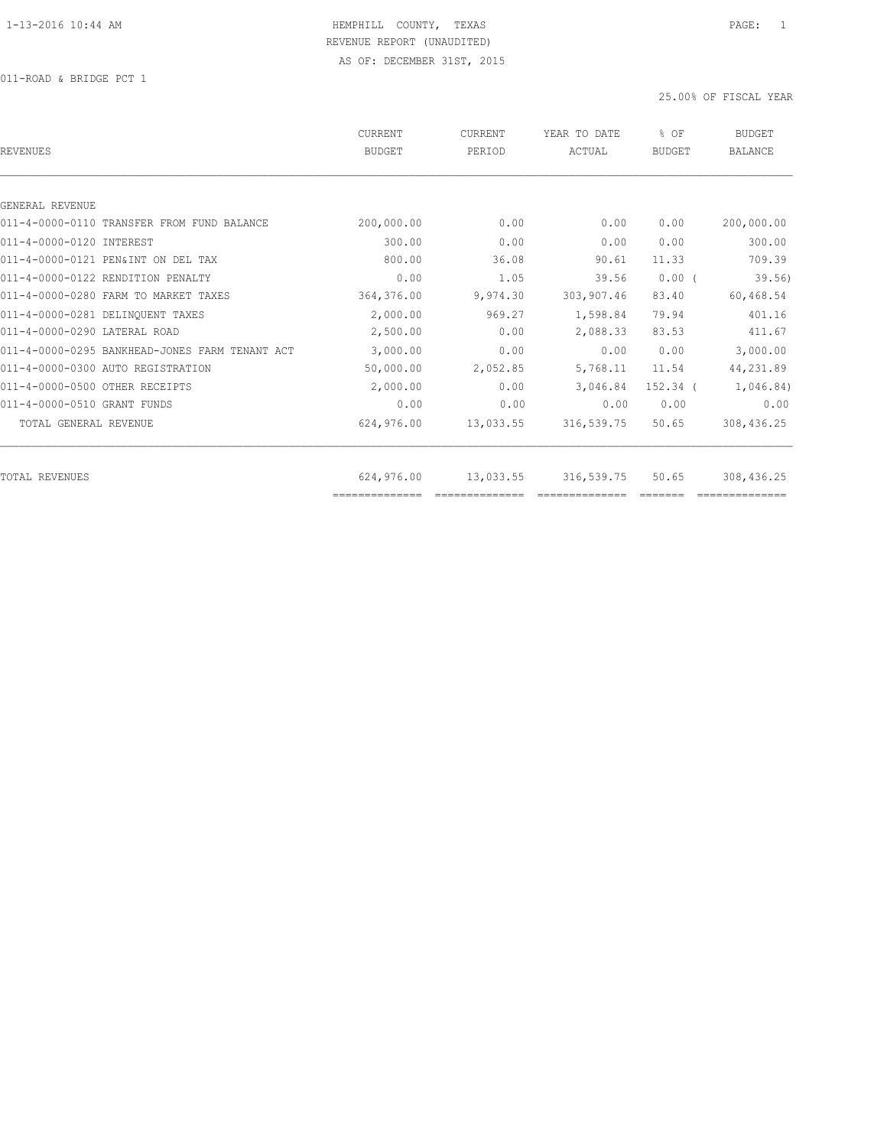011-ROAD & BRIDGE PCT 1

| REVENUES                                       | CURRENT<br><b>BUDGET</b> | CURRENT<br>PERIOD | YEAR TO DATE<br>ACTUAL | % OF<br>BUDGET | <b>BUDGET</b><br><b>BALANCE</b> |
|------------------------------------------------|--------------------------|-------------------|------------------------|----------------|---------------------------------|
|                                                |                          |                   |                        |                |                                 |
| GENERAL REVENUE                                |                          |                   |                        |                |                                 |
| 011-4-0000-0110 TRANSFER FROM FUND BALANCE     | 200,000.00               | 0.00              | 0.00                   | 0.00           | 200,000.00                      |
| 011-4-0000-0120 INTEREST                       | 300.00                   | 0.00              | 0.00                   | 0.00           | 300.00                          |
| 011-4-0000-0121 PEN&INT ON DEL TAX             | 800.00                   | 36.08             | 90.61                  | 11.33          | 709.39                          |
| 011-4-0000-0122 RENDITION PENALTY              | 0.00                     | 1.05              | 39.56                  | $0.00$ (       | 39.56)                          |
| 011-4-0000-0280 FARM TO MARKET TAXES           | 364,376.00               | 9,974.30          | 303,907.46             | 83.40          | 60,468.54                       |
| 011-4-0000-0281 DELINOUENT TAXES               | 2,000.00                 | 969.27            | 1,598.84               | 79.94          | 401.16                          |
| 011-4-0000-0290 LATERAL ROAD                   | 2,500.00                 | 0.00              | 2,088.33               | 83.53          | 411.67                          |
| 011-4-0000-0295 BANKHEAD-JONES FARM TENANT ACT | 3,000.00                 | 0.00              | 0.00                   | 0.00           | 3,000.00                        |
| 011-4-0000-0300 AUTO REGISTRATION              | 50,000.00                | 2,052.85          | 5,768.11               | 11.54          | 44,231.89                       |
| 011-4-0000-0500 OTHER RECEIPTS                 | 2,000.00                 | 0.00              | 3,046.84               | 152.34 (       | 1,046.84)                       |
| 011-4-0000-0510 GRANT FUNDS                    | 0.00                     | 0.00              | 0.00                   | 0.00           | 0.00                            |
| TOTAL GENERAL REVENUE                          | 624,976.00               | 13,033.55         | 316,539.75             | 50.65          | 308,436.25                      |
|                                                |                          |                   |                        |                |                                 |
| TOTAL REVENUES                                 | 624,976.00               | 13,033.55         | 316,539.75             | 50.65          | 308,436.25                      |
|                                                | ==============           |                   |                        |                |                                 |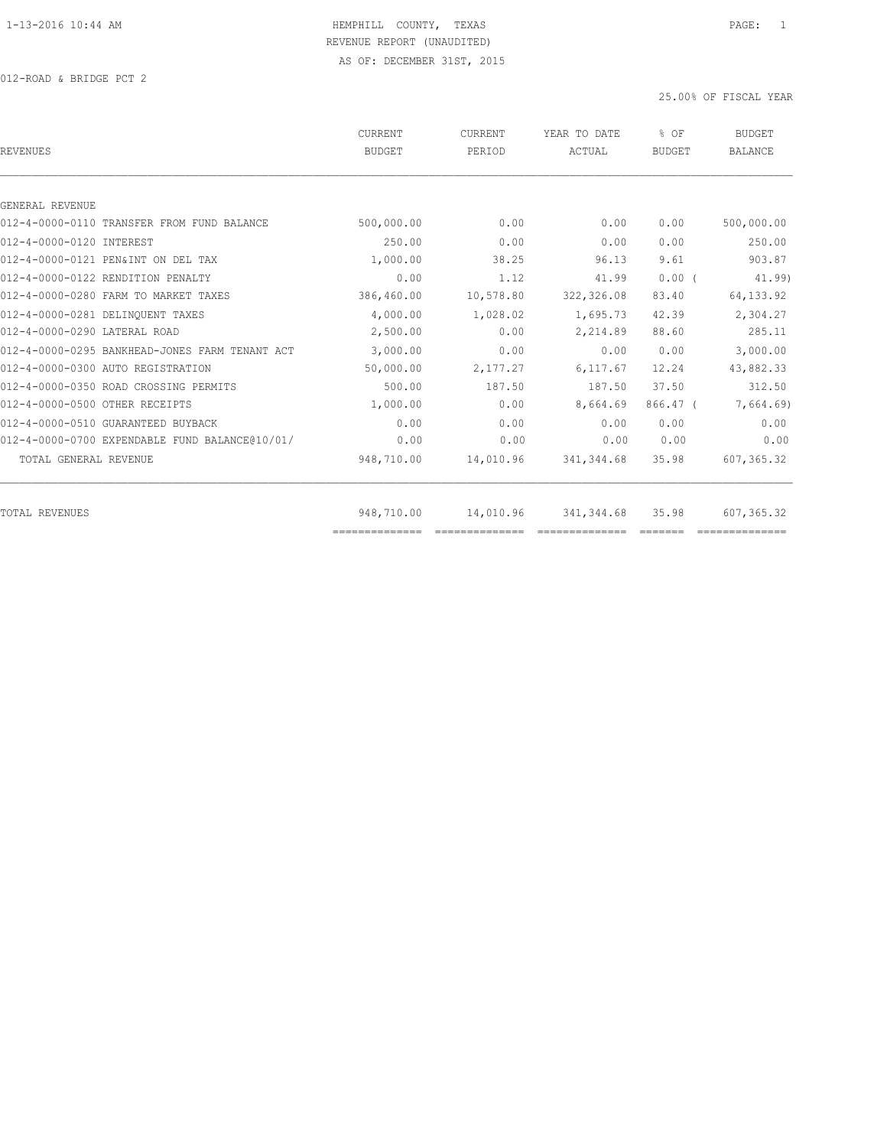012-ROAD & BRIDGE PCT 2

| <b>REVENUES</b>                                | CURRENT<br><b>BUDGET</b> | <b>CURRENT</b><br>PERIOD | YEAR TO DATE<br>ACTUAL | % OF<br><b>BUDGET</b> | <b>BUDGET</b><br><b>BALANCE</b> |
|------------------------------------------------|--------------------------|--------------------------|------------------------|-----------------------|---------------------------------|
|                                                |                          |                          |                        |                       |                                 |
| GENERAL REVENUE                                |                          |                          |                        |                       |                                 |
| 012-4-0000-0110 TRANSFER FROM FUND BALANCE     | 500,000.00               | 0.00                     | 0.00                   | 0.00                  | 500,000.00                      |
| 012-4-0000-0120 INTEREST                       | 250.00                   | 0.00                     | 0.00                   | 0.00                  | 250.00                          |
| 012-4-0000-0121 PEN&INT ON DEL TAX             | 1,000.00                 | 38.25                    | 96.13                  | 9.61                  | 903.87                          |
| 012-4-0000-0122 RENDITION PENALTY              | 0.00                     | 1.12                     | 41.99                  | 0.00(                 | 41.99)                          |
| 012-4-0000-0280 FARM TO MARKET TAXES           | 386,460.00               | 10,578.80                | 322, 326.08            | 83.40                 | 64, 133.92                      |
| 012-4-0000-0281 DELINOUENT TAXES               | 4,000.00                 | 1,028.02                 | 1,695.73               | 42.39                 | 2,304.27                        |
| 012-4-0000-0290 LATERAL ROAD                   | 2,500.00                 | 0.00                     | 2,214.89               | 88.60                 | 285.11                          |
| 012-4-0000-0295 BANKHEAD-JONES FARM TENANT ACT | 3,000.00                 | 0.00                     | 0.00                   | 0.00                  | 3,000.00                        |
| 012-4-0000-0300 AUTO REGISTRATION              | 50,000.00                | 2,177.27                 | 6, 117.67              | 12.24                 | 43,882.33                       |
| 012-4-0000-0350 ROAD CROSSING PERMITS          | 500.00                   | 187.50                   | 187.50                 | 37.50                 | 312.50                          |
| 012-4-0000-0500 OTHER RECEIPTS                 | 1,000.00                 | 0.00                     | 8,664.69               | $866.47$ (            | 7,664.69)                       |
| 012-4-0000-0510 GUARANTEED BUYBACK             | 0.00                     | 0.00                     | 0.00                   | 0.00                  | 0.00                            |
| 012-4-0000-0700 EXPENDABLE FUND BALANCE@10/01/ | 0.00                     | 0.00                     | 0.00                   | 0.00                  | 0.00                            |
| TOTAL GENERAL REVENUE                          | 948,710.00               | 14,010.96                | 341, 344.68            | 35.98                 | 607, 365.32                     |
| <b>TOTAL REVENUES</b>                          | 948,710.00               | 14,010.96                | 341, 344.68            | 35.98                 | 607,365.32                      |
|                                                |                          |                          |                        |                       |                                 |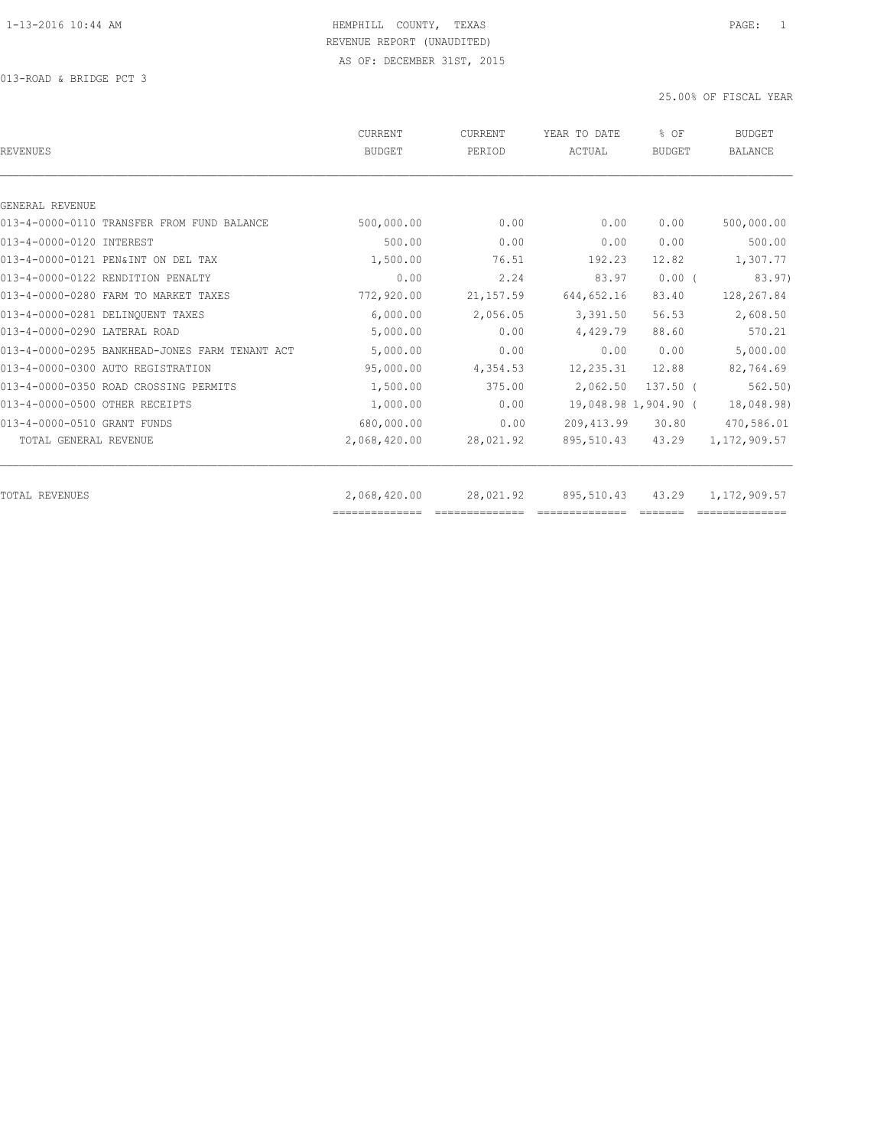013-ROAD & BRIDGE PCT 3

| <b>REVENUES</b>                                | <b>CURRENT</b><br><b>BUDGET</b> | CURRENT<br>PERIOD | YEAR TO DATE<br>ACTUAL | % OF<br><b>BUDGET</b> | <b>BUDGET</b><br><b>BALANCE</b> |
|------------------------------------------------|---------------------------------|-------------------|------------------------|-----------------------|---------------------------------|
|                                                |                                 |                   |                        |                       |                                 |
| GENERAL REVENUE                                |                                 |                   |                        |                       |                                 |
| 013-4-0000-0110 TRANSFER FROM FUND BALANCE     | 500,000.00                      | 0.00              | 0.00                   | 0.00                  | 500,000.00                      |
| 013-4-0000-0120 INTEREST                       | 500.00                          | 0.00              | 0.00                   | 0.00                  | 500.00                          |
| 013-4-0000-0121 PEN&INT ON DEL TAX             | 1,500.00                        | 76.51             | 192.23                 | 12.82                 | 1,307.77                        |
| 013-4-0000-0122 RENDITION PENALTY              | 0.00                            | 2.24              | 83.97                  | $0.00$ (              | 83.97)                          |
| 013-4-0000-0280 FARM TO MARKET TAXES           | 772,920.00                      | 21, 157.59        | 644, 652.16            | 83.40                 | 128,267.84                      |
| 013-4-0000-0281 DELINQUENT TAXES               | 6,000.00                        | 2,056.05          | 3,391.50               | 56.53                 | 2,608.50                        |
| 013-4-0000-0290 LATERAL ROAD                   | 5,000.00                        | 0.00              | 4,429.79               | 88.60                 | 570.21                          |
| 013-4-0000-0295 BANKHEAD-JONES FARM TENANT ACT | 5,000.00                        | 0.00              | 0.00                   | 0.00                  | 5,000.00                        |
| 013-4-0000-0300 AUTO REGISTRATION              | 95,000.00                       | 4,354.53          | 12,235.31              | 12.88                 | 82,764.69                       |
| 013-4-0000-0350 ROAD CROSSING PERMITS          | 1,500.00                        | 375.00            | 2,062.50               | $137.50$ $($          | 562.50                          |
| 013-4-0000-0500 OTHER RECEIPTS                 | 1,000.00                        | 0.00              |                        | 19,048.98 1,904.90 (  | 18,048.98)                      |
| 013-4-0000-0510 GRANT FUNDS                    | 680,000.00                      | 0.00              | 209, 413.99            | 30.80                 | 470,586.01                      |
| TOTAL GENERAL REVENUE                          | 2,068,420.00                    | 28,021.92         | 895,510.43             | 43.29                 | 1, 172, 909.57                  |
| <b>TOTAL REVENUES</b>                          | 2,068,420.00                    | 28,021.92         | 895,510.43             | 43.29                 | 1,172,909.57                    |
|                                                | ==============                  |                   |                        |                       |                                 |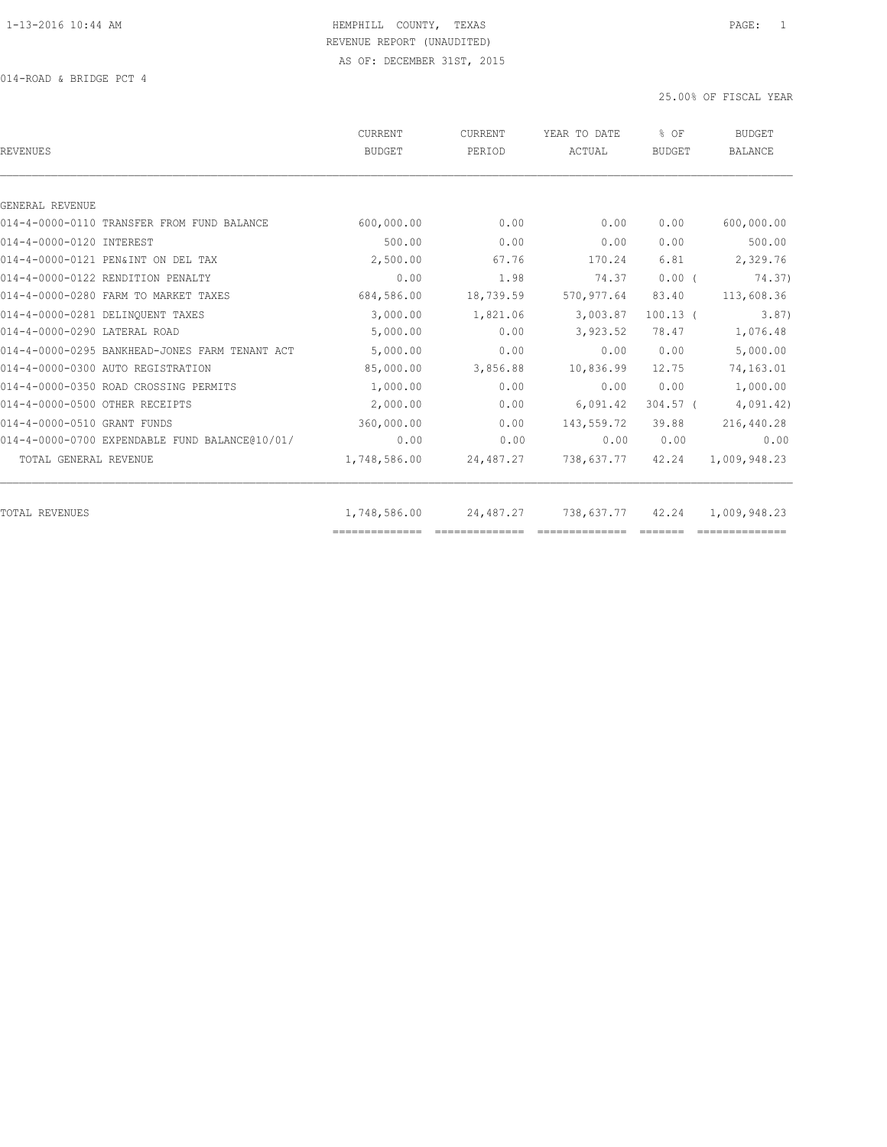014-ROAD & BRIDGE PCT 4

| <b>REVENUES</b>                                | CURRENT<br><b>BUDGET</b> | <b>CURRENT</b><br>PERIOD | YEAR TO DATE<br>ACTUAL | $8$ OF<br><b>BUDGET</b>                                                                                                                                                                                                                                                                                                                                                                                                                                                                | <b>BUDGET</b><br><b>BALANCE</b> |
|------------------------------------------------|--------------------------|--------------------------|------------------------|----------------------------------------------------------------------------------------------------------------------------------------------------------------------------------------------------------------------------------------------------------------------------------------------------------------------------------------------------------------------------------------------------------------------------------------------------------------------------------------|---------------------------------|
|                                                |                          |                          |                        |                                                                                                                                                                                                                                                                                                                                                                                                                                                                                        |                                 |
| GENERAL REVENUE                                |                          |                          |                        |                                                                                                                                                                                                                                                                                                                                                                                                                                                                                        |                                 |
| 014-4-0000-0110 TRANSFER FROM FUND BALANCE     | 600,000.00               | 0.00                     | 0.00                   | 0.00                                                                                                                                                                                                                                                                                                                                                                                                                                                                                   | 600,000.00                      |
| 014-4-0000-0120 INTEREST                       | 500.00                   | 0.00                     | 0.00                   | 0.00                                                                                                                                                                                                                                                                                                                                                                                                                                                                                   | 500.00                          |
| 014-4-0000-0121 PEN&INT ON DEL TAX             | 2,500.00                 | 67.76                    | 170.24                 | 6.81                                                                                                                                                                                                                                                                                                                                                                                                                                                                                   | 2,329.76                        |
| 014-4-0000-0122 RENDITION PENALTY              | 0.00                     | 1.98                     | 74.37                  | $0.00$ (                                                                                                                                                                                                                                                                                                                                                                                                                                                                               | 74.37)                          |
| 014-4-0000-0280 FARM TO MARKET TAXES           | 684,586.00               | 18,739.59                | 570, 977.64            | 83.40                                                                                                                                                                                                                                                                                                                                                                                                                                                                                  | 113,608.36                      |
| 014-4-0000-0281 DELINOUENT TAXES               | 3,000.00                 | 1,821.06                 | 3,003.87               | $100.13$ (                                                                                                                                                                                                                                                                                                                                                                                                                                                                             | 3.87                            |
| 014-4-0000-0290 LATERAL ROAD                   | 5,000.00                 | 0.00                     | 3,923.52               | 78.47                                                                                                                                                                                                                                                                                                                                                                                                                                                                                  | 1,076.48                        |
| 014-4-0000-0295 BANKHEAD-JONES FARM TENANT ACT | 5,000.00                 | 0.00                     | 0.00                   | 0.00                                                                                                                                                                                                                                                                                                                                                                                                                                                                                   | 5,000.00                        |
| 014-4-0000-0300 AUTO REGISTRATION              | 85,000.00                | 3,856.88                 | 10,836.99              | 12.75                                                                                                                                                                                                                                                                                                                                                                                                                                                                                  | 74,163.01                       |
| 014-4-0000-0350 ROAD CROSSING PERMITS          | 1,000.00                 | 0.00                     | 0.00                   | 0.00                                                                                                                                                                                                                                                                                                                                                                                                                                                                                   | 1,000.00                        |
| 014-4-0000-0500 OTHER RECEIPTS                 | 2,000.00                 | 0.00                     | 6,091.42               | $304.57$ (                                                                                                                                                                                                                                                                                                                                                                                                                                                                             | 4,091.42)                       |
| 014-4-0000-0510 GRANT FUNDS                    | 360,000.00               | 0.00                     | 143,559.72             | 39.88                                                                                                                                                                                                                                                                                                                                                                                                                                                                                  | 216,440.28                      |
| 014-4-0000-0700 EXPENDABLE FUND BALANCE@10/01/ | 0.00                     | 0.00                     | 0.00                   | 0.00                                                                                                                                                                                                                                                                                                                                                                                                                                                                                   | 0.00                            |
| TOTAL GENERAL REVENUE                          | 1,748,586.00             | 24,487.27                | 738,637.77             | 42.24                                                                                                                                                                                                                                                                                                                                                                                                                                                                                  | 1,009,948.23                    |
| <b>TOTAL REVENUES</b>                          | 1,748,586.00             | 24,487.27                | 738,637.77             | 42.24                                                                                                                                                                                                                                                                                                                                                                                                                                                                                  | 1,009,948.23                    |
|                                                | ==============           | ---------------          | ==============         | $\begin{array}{cccccccccc} \multicolumn{2}{c}{} & \multicolumn{2}{c}{} & \multicolumn{2}{c}{} & \multicolumn{2}{c}{} & \multicolumn{2}{c}{} & \multicolumn{2}{c}{} & \multicolumn{2}{c}{} & \multicolumn{2}{c}{} & \multicolumn{2}{c}{} & \multicolumn{2}{c}{} & \multicolumn{2}{c}{} & \multicolumn{2}{c}{} & \multicolumn{2}{c}{} & \multicolumn{2}{c}{} & \multicolumn{2}{c}{} & \multicolumn{2}{c}{} & \multicolumn{2}{c}{} & \multicolumn{2}{c}{} & \multicolumn{2}{c}{} & \mult$ |                                 |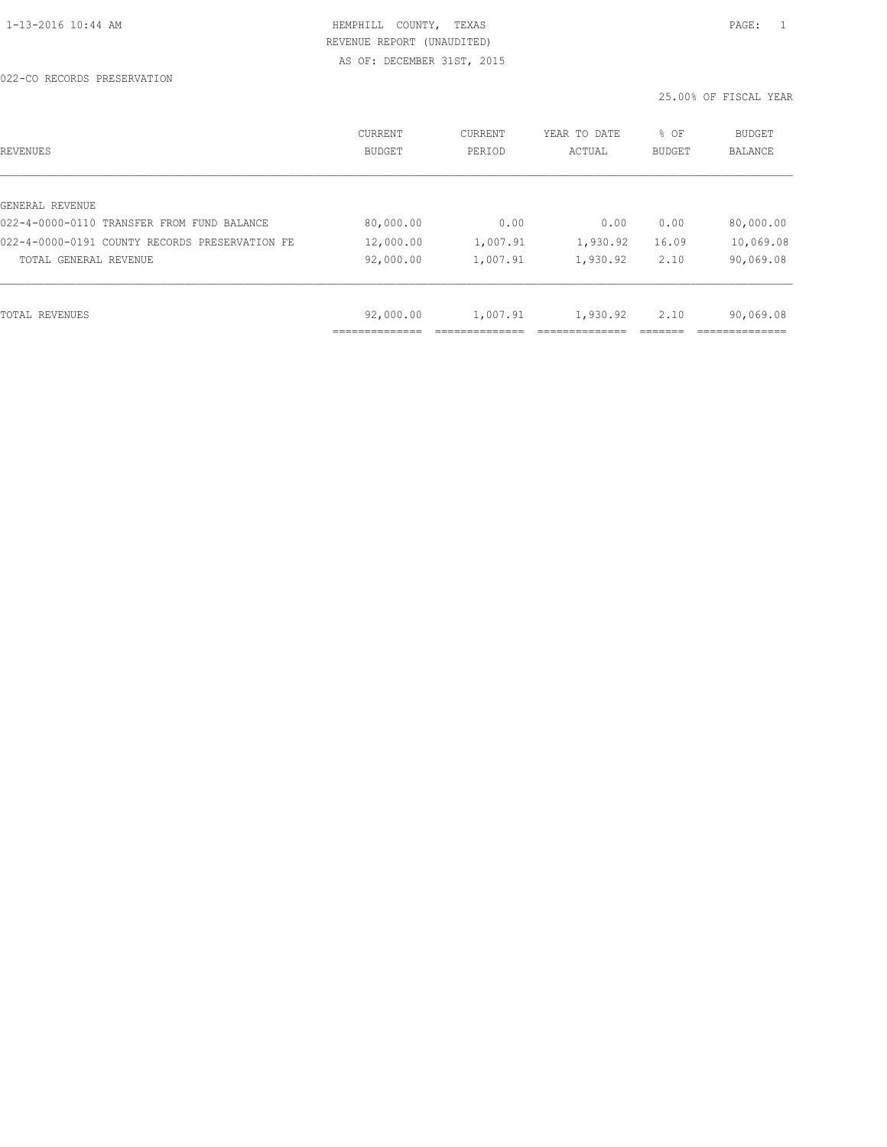022-CO RECORDS PRESERVATION

| REVENUES                                       | CURRENT<br><b>BUDGET</b> | CURRENT<br>PERIOD | YEAR TO DATE<br>ACTUAL | % OF<br>BUDGET | <b>BUDGET</b><br><b>BALANCE</b> |
|------------------------------------------------|--------------------------|-------------------|------------------------|----------------|---------------------------------|
|                                                |                          |                   |                        |                |                                 |
| GENERAL REVENUE                                |                          |                   |                        |                |                                 |
| 022-4-0000-0110 TRANSFER FROM FUND BALANCE     | 80,000.00                | 0.00              | 0.00                   | 0.00           | 80,000.00                       |
| 022-4-0000-0191 COUNTY RECORDS PRESERVATION FE | 12,000.00                | 1,007.91          | 1,930.92               | 16.09          | 10,069.08                       |
| TOTAL GENERAL REVENUE                          | 92,000.00                | 1,007.91          | 1,930.92               | 2.10           | 90,069.08                       |
|                                                |                          |                   |                        |                |                                 |
| TOTAL REVENUES                                 | 92,000.00                | 1,007.91          | 1,930.92               | 2.10           | 90,069.08                       |
|                                                | ___________              |                   |                        |                |                                 |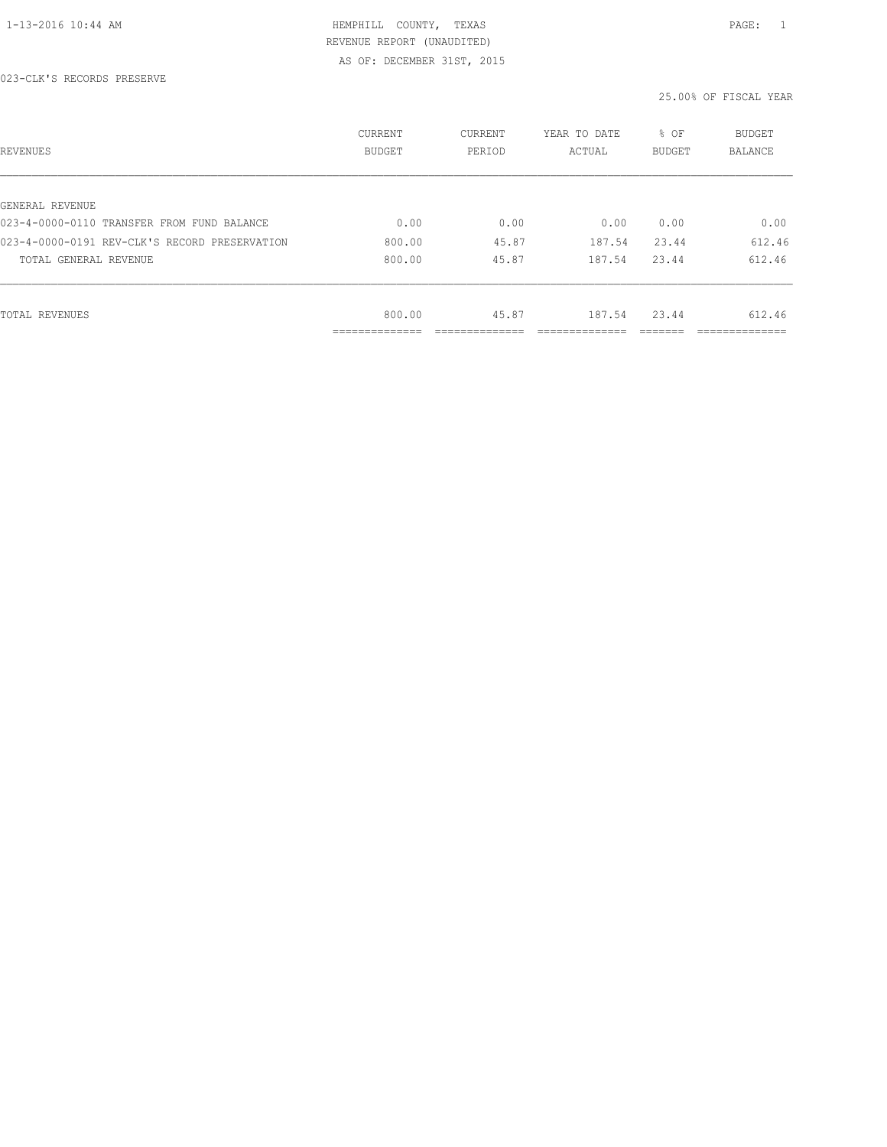#### 023-CLK'S RECORDS PRESERVE

| REVENUES                                      | CURRENT<br><b>BUDGET</b>    | CURRENT<br>PERIOD | YEAR TO DATE<br>ACTUAL | % OF<br>BUDGET | BUDGET<br><b>BALANCE</b> |
|-----------------------------------------------|-----------------------------|-------------------|------------------------|----------------|--------------------------|
|                                               |                             |                   |                        |                |                          |
| GENERAL REVENUE                               |                             |                   |                        |                |                          |
| 023-4-0000-0110 TRANSFER FROM FUND BALANCE    | 0.00                        | 0.00              | 0.00                   | 0.00           | 0.00                     |
| 023-4-0000-0191 REV-CLK'S RECORD PRESERVATION | 800.00                      | 45.87             | 187.54                 | 23.44          | 612.46                   |
| TOTAL GENERAL REVENUE                         | 800.00                      | 45.87             | 187.54                 | 23.44          | 612.46                   |
|                                               |                             |                   |                        |                |                          |
| TOTAL REVENUES                                | 800.00                      | 45.87             | 187.54                 | 23.44          | 612.46                   |
|                                               | -----------<br>------------ |                   |                        |                | ___________              |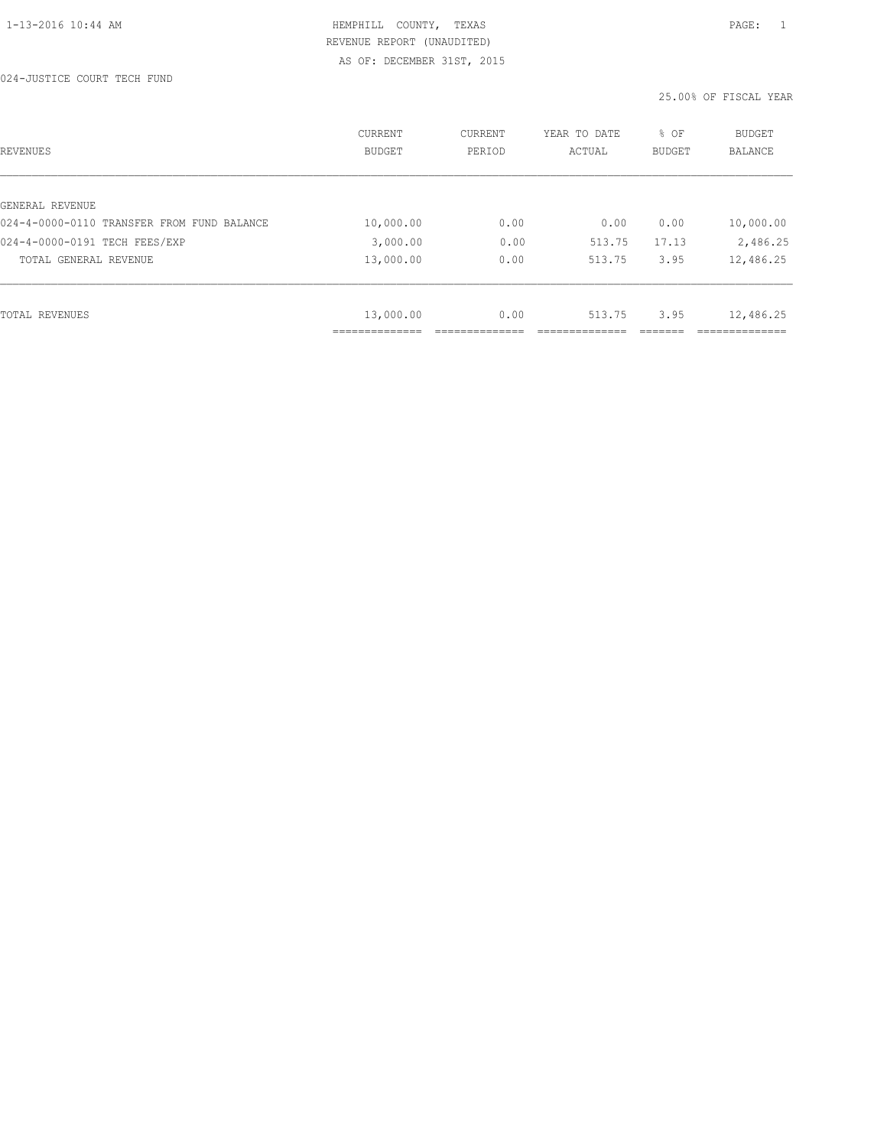024-JUSTICE COURT TECH FUND

| REVENUES                                   | CURRENT<br><b>BUDGET</b> | CURRENT<br>PERIOD | YEAR TO DATE<br>ACTUAL | % OF<br>BUDGET | BUDGET<br><b>BALANCE</b> |
|--------------------------------------------|--------------------------|-------------------|------------------------|----------------|--------------------------|
|                                            |                          |                   |                        |                |                          |
| GENERAL REVENUE                            |                          |                   |                        |                |                          |
| 024-4-0000-0110 TRANSFER FROM FUND BALANCE | 10,000.00                | 0.00              | 0.00                   | 0.00           | 10,000.00                |
| 024-4-0000-0191 TECH FEES/EXP              | 3,000.00                 | 0.00              | 513.75                 | 17.13          | 2,486.25                 |
| TOTAL GENERAL REVENUE                      | 13,000.00                | 0.00              | 513.75                 | 3.95           | 12,486.25                |
|                                            |                          |                   |                        |                |                          |
| TOTAL REVENUES                             | 13,000.00                | 0.00              | 513.75                 | 3.95           | 12,486.25                |
|                                            |                          |                   |                        |                |                          |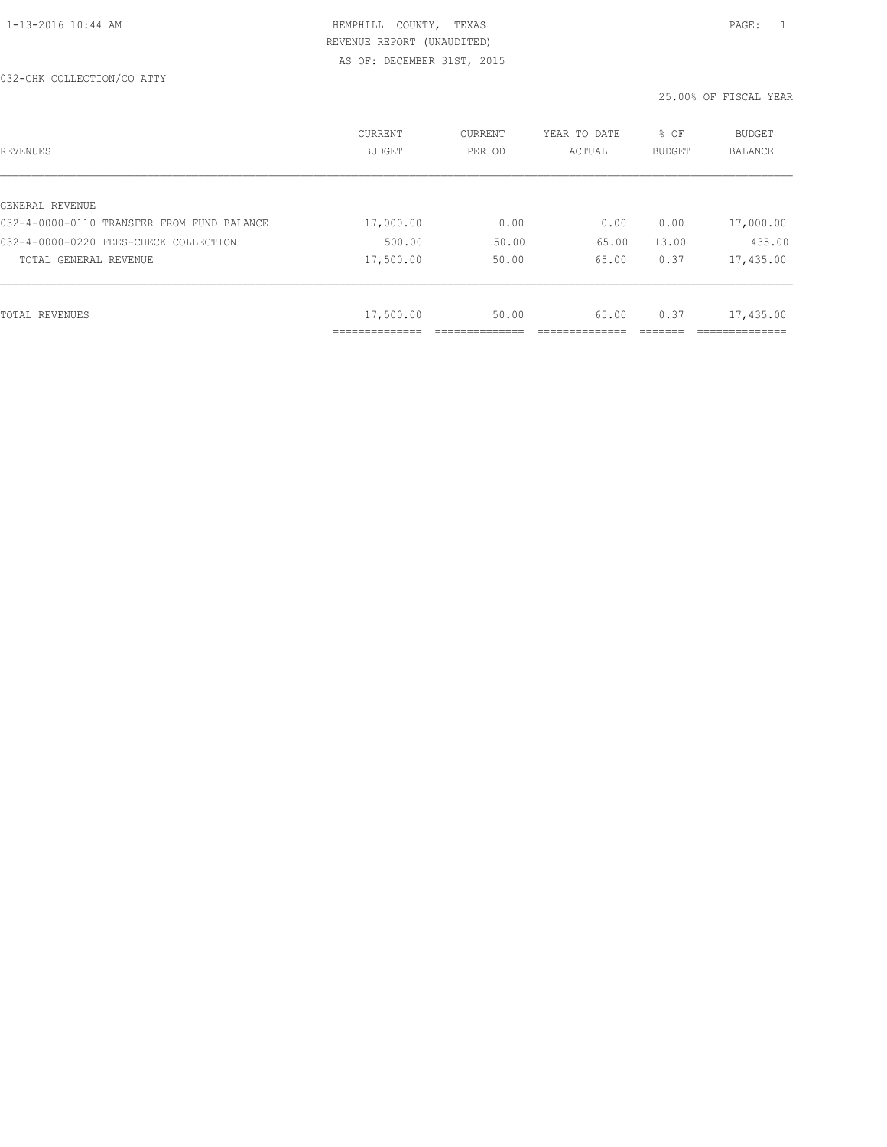#### 032-CHK COLLECTION/CO ATTY

| REVENUES                                   | <b>CURRENT</b><br><b>BUDGET</b> | CURRENT<br>PERIOD | YEAR TO DATE<br>ACTUAL | % OF<br>BUDGET | <b>BUDGET</b><br>BALANCE |
|--------------------------------------------|---------------------------------|-------------------|------------------------|----------------|--------------------------|
|                                            |                                 |                   |                        |                |                          |
| GENERAL REVENUE                            |                                 |                   |                        |                |                          |
| 032-4-0000-0110 TRANSFER FROM FUND BALANCE | 17,000.00                       | 0.00              | 0.00                   | 0.00           | 17,000.00                |
| 032-4-0000-0220 FEES-CHECK COLLECTION      | 500.00                          | 50.00             | 65.00                  | 13.00          | 435.00                   |
| TOTAL GENERAL REVENUE                      | 17,500.00                       | 50.00             | 65.00                  | 0.37           | 17,435.00                |
|                                            |                                 |                   |                        |                |                          |
| TOTAL REVENUES                             | 17,500.00                       | 50.00             | 65.00                  | 0.37           | 17,435.00                |
|                                            |                                 |                   |                        |                |                          |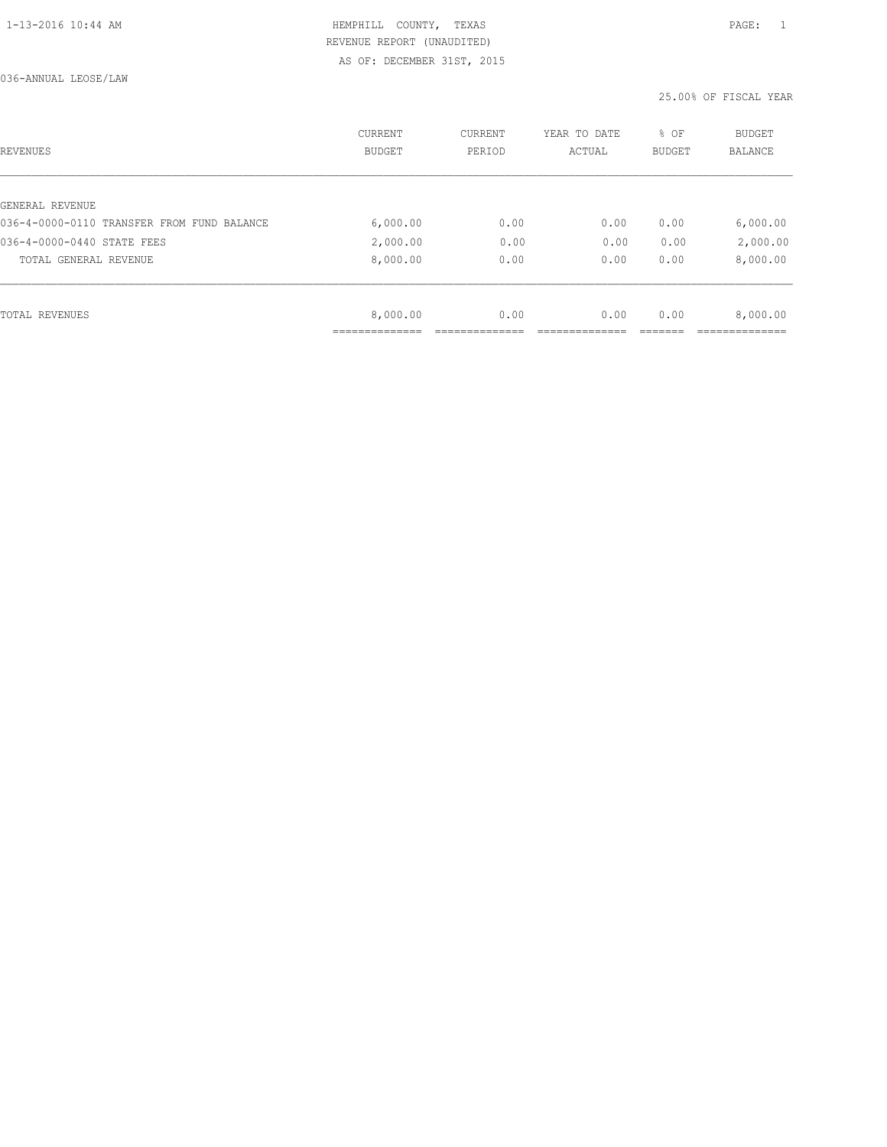| REVENUES                                   | <b>CURRENT</b><br><b>BUDGET</b> | CURRENT<br>PERIOD | YEAR TO DATE<br>ACTUAL | % OF<br><b>BUDGET</b> | BUDGET<br><b>BALANCE</b> |
|--------------------------------------------|---------------------------------|-------------------|------------------------|-----------------------|--------------------------|
|                                            |                                 |                   |                        |                       |                          |
| GENERAL REVENUE                            |                                 |                   |                        |                       |                          |
| 036-4-0000-0110 TRANSFER FROM FUND BALANCE | 6,000.00                        | 0.00              | 0.00                   | 0.00                  | 6,000.00                 |
| 036-4-0000-0440 STATE FEES                 | 2,000.00                        | 0.00              | 0.00                   | 0.00                  | 2,000.00                 |
| TOTAL GENERAL REVENUE                      | 8,000.00                        | 0.00              | 0.00                   | 0.00                  | 8,000.00                 |
|                                            |                                 |                   |                        |                       |                          |
| TOTAL REVENUES                             | 8,000.00                        | 0.00              | 0.00                   | 0.00                  | 8,000.00                 |
|                                            |                                 |                   |                        |                       |                          |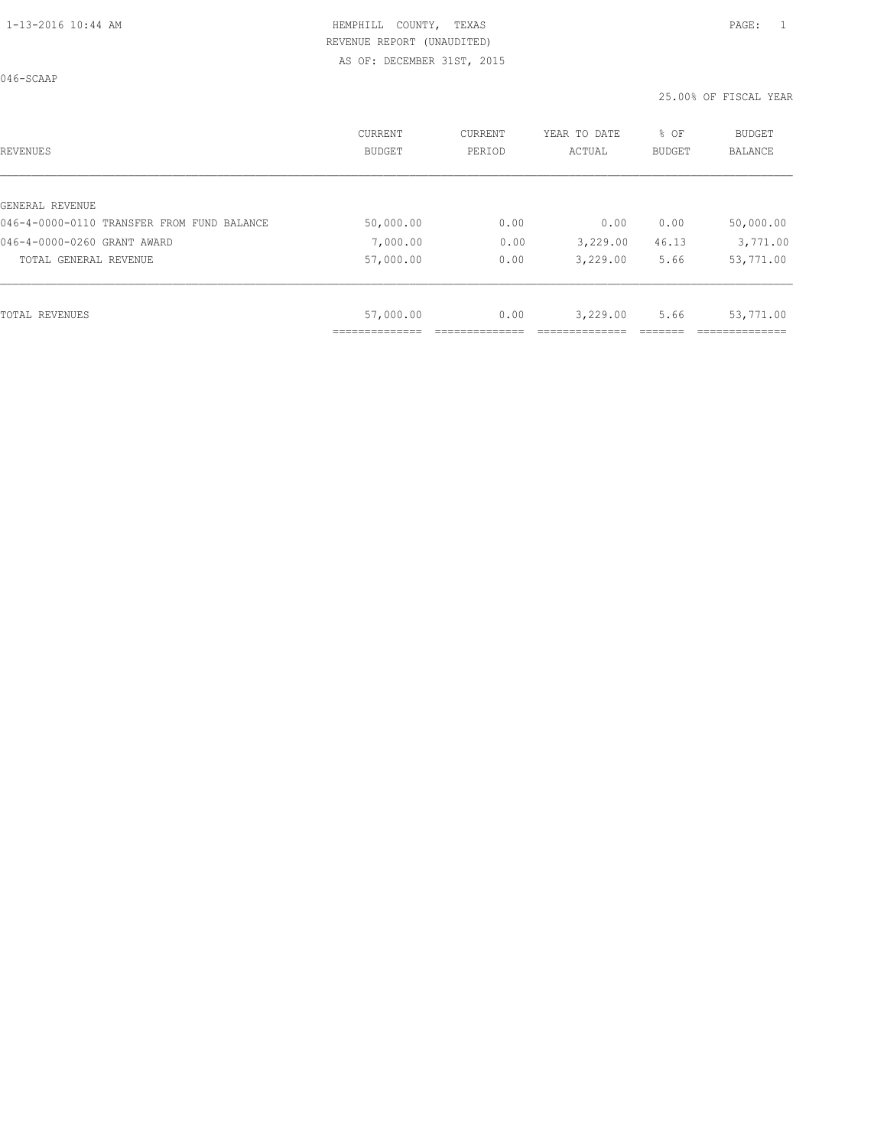046-SCAAP

| REVENUES                                   | CURRENT<br><b>BUDGET</b> | CURRENT<br>PERIOD | YEAR TO DATE<br>ACTUAL | % OF<br>BUDGET | <b>BUDGET</b><br>BALANCE |
|--------------------------------------------|--------------------------|-------------------|------------------------|----------------|--------------------------|
|                                            |                          |                   |                        |                |                          |
| GENERAL REVENUE                            |                          |                   |                        |                |                          |
| 046-4-0000-0110 TRANSFER FROM FUND BALANCE | 50,000.00                | 0.00              | 0.00                   | 0.00           | 50,000.00                |
| 046-4-0000-0260 GRANT AWARD                | 7,000.00                 | 0.00              | 3,229.00               | 46.13          | 3,771.00                 |
| TOTAL GENERAL REVENUE                      | 57,000.00                | 0.00              | 3,229.00               | 5.66           | 53,771.00                |
|                                            |                          |                   |                        |                |                          |
| TOTAL REVENUES                             | 57,000.00                | 0.00              | 3,229.00               | 5.66           | 53,771.00                |
|                                            |                          |                   |                        |                |                          |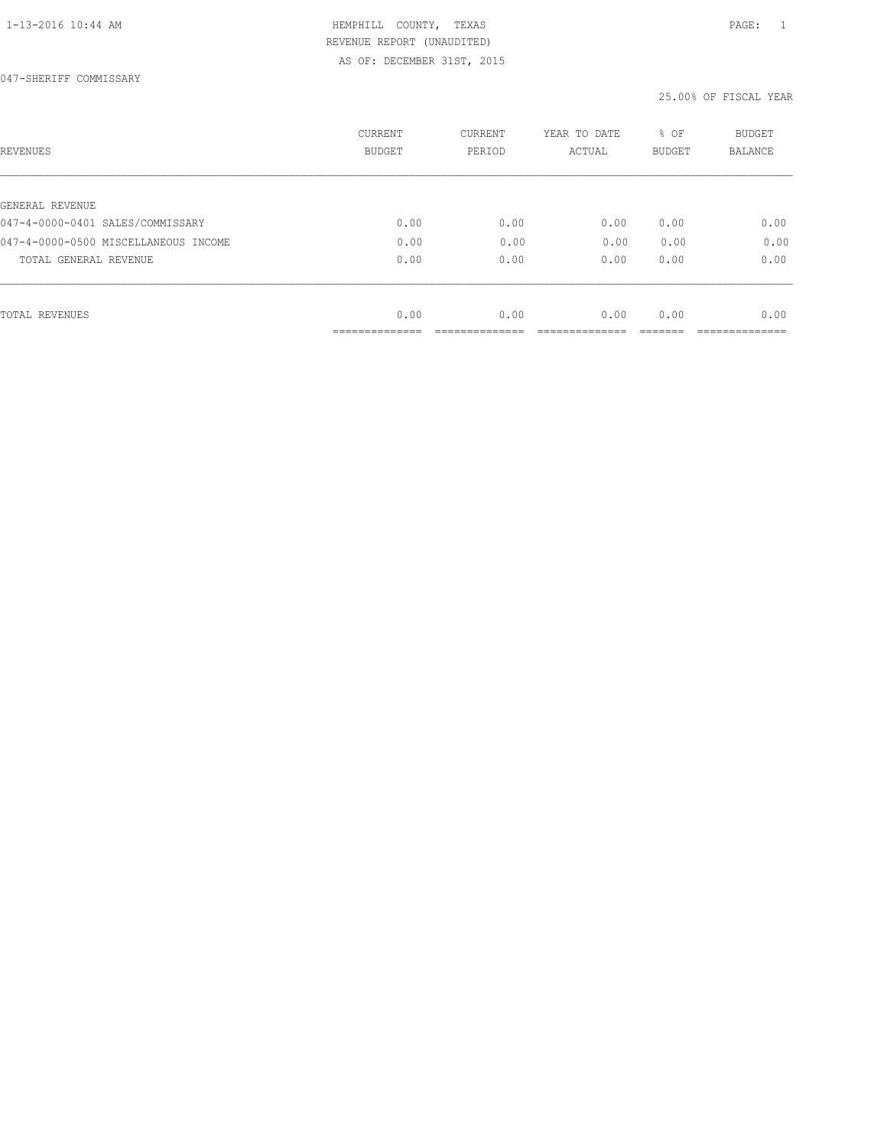047-SHERIFF COMMISSARY

| REVENUES                             | CURRENT<br><b>BUDGET</b> | CURRENT<br>PERIOD | YEAR TO DATE<br>ACTUAL | % OF<br>BUDGET | BUDGET<br>BALANCE |
|--------------------------------------|--------------------------|-------------------|------------------------|----------------|-------------------|
|                                      |                          |                   |                        |                |                   |
| GENERAL REVENUE                      |                          |                   |                        |                |                   |
| 047-4-0000-0401 SALES/COMMISSARY     | 0.00                     | 0.00              | 0.00                   | 0.00           | 0.00              |
| 047-4-0000-0500 MISCELLANEOUS INCOME | 0.00                     | 0.00              | 0.00                   | 0.00           | 0.00              |
| TOTAL GENERAL REVENUE                | 0.00                     | 0.00              | 0.00                   | 0.00           | 0.00              |
|                                      |                          |                   |                        |                |                   |
| TOTAL REVENUES                       | 0.00                     | 0.00              | 0.00                   | 0.00           | 0.00              |
|                                      | ----------               |                   |                        |                |                   |